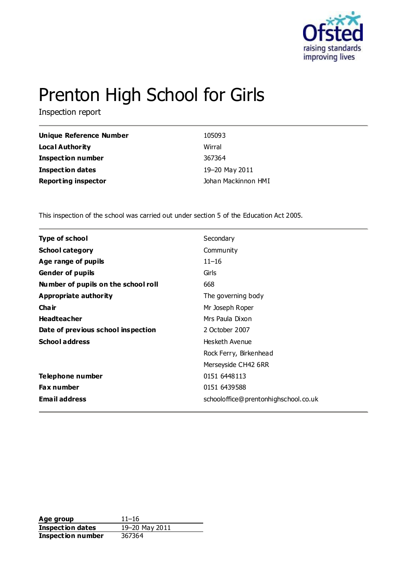

# Prenton High School for Girls

Inspection report

| Unique Reference Number    | 105093              |
|----------------------------|---------------------|
| <b>Local Authority</b>     | Wirral              |
| <b>Inspection number</b>   | 367364              |
| <b>Inspection dates</b>    | 19-20 May 2011      |
| <b>Reporting inspector</b> | Johan Mackinnon HMI |

This inspection of the school was carried out under section 5 of the Education Act 2005.

| <b>Type of school</b>               | Secondary                            |
|-------------------------------------|--------------------------------------|
| <b>School category</b>              | Community                            |
| Age range of pupils                 | $11 - 16$                            |
| <b>Gender of pupils</b>             | Girls                                |
| Number of pupils on the school roll | 668                                  |
| <b>Appropriate authority</b>        | The governing body                   |
| Cha ir                              | Mr Joseph Roper                      |
| <b>Headteacher</b>                  | Mrs Paula Dixon                      |
| Date of previous school inspection  | 2 October 2007                       |
| <b>School address</b>               | Hesketh Avenue                       |
|                                     | Rock Ferry, Birkenhead               |
|                                     | Merseyside CH42 6RR                  |
| Telephone number                    | 0151 6448113                         |
| Fax number                          | 0151 6439588                         |
| <b>Email address</b>                | schooloffice@prentonhighschool.co.uk |
|                                     |                                      |

**Age group** 11–16<br> **Inspection dates** 19–20 May 2011 **Inspection dates** 19–20 M<br>**Inspection number** 367364 **Inspection number**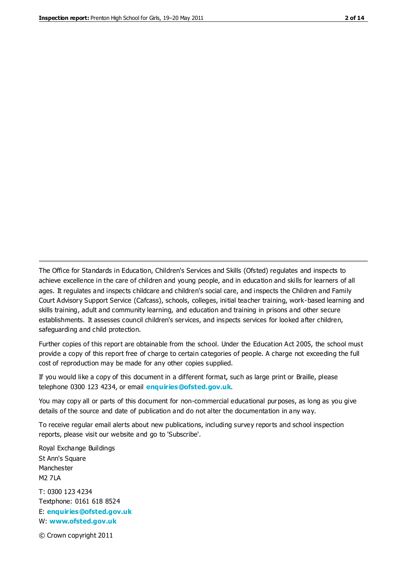The Office for Standards in Education, Children's Services and Skills (Ofsted) regulates and inspects to achieve excellence in the care of children and young people, and in education and skills for learners of all ages. It regulates and inspects childcare and children's social care, and inspects the Children and Family Court Advisory Support Service (Cafcass), schools, colleges, initial teacher training, work-based learning and skills training, adult and community learning, and education and training in prisons and other secure establishments. It assesses council children's services, and inspects services for looked after children, safeguarding and child protection.

Further copies of this report are obtainable from the school. Under the Education Act 2005, the school must provide a copy of this report free of charge to certain categories of people. A charge not exceeding the full cost of reproduction may be made for any other copies supplied.

If you would like a copy of this document in a different format, such as large print or Braille, please telephone 0300 123 4234, or email **[enquiries@ofsted.gov.uk](mailto:enquiries@ofsted.gov.uk)**.

You may copy all or parts of this document for non-commercial educational purposes, as long as you give details of the source and date of publication and do not alter the documentation in any way.

To receive regular email alerts about new publications, including survey reports and school inspection reports, please visit our website and go to 'Subscribe'.

Royal Exchange Buildings St Ann's Square Manchester M2 7LA T: 0300 123 4234 Textphone: 0161 618 8524 E: **[enquiries@ofsted.gov.uk](mailto:enquiries@ofsted.gov.uk)**

W: **[www.ofsted.gov.uk](http://www.ofsted.gov.uk/)**

© Crown copyright 2011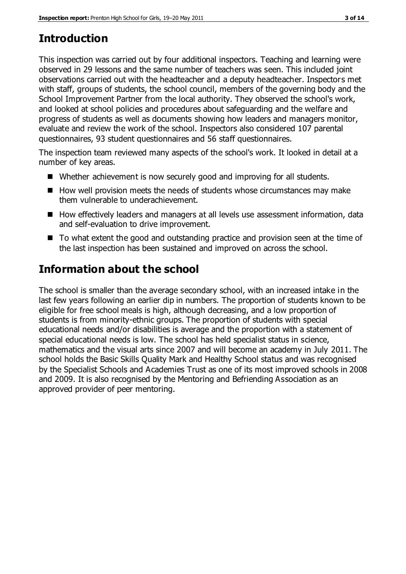# **Introduction**

This inspection was carried out by four additional inspectors. Teaching and learning were observed in 29 lessons and the same number of teachers was seen. This included joint observations carried out with the headteacher and a deputy headteacher. Inspectors met with staff, groups of students, the school council, members of the governing body and the School Improvement Partner from the local authority. They observed the school's work, and looked at school policies and procedures about safeguarding and the welfare and progress of students as well as documents showing how leaders and managers monitor, evaluate and review the work of the school. Inspectors also considered 107 parental questionnaires, 93 student questionnaires and 56 staff questionnaires.

The inspection team reviewed many aspects of the school's work. It looked in detail at a number of key areas.

- Whether achievement is now securely good and improving for all students.
- $\blacksquare$  How well provision meets the needs of students whose circumstances may make them vulnerable to underachievement.
- How effectively leaders and managers at all levels use assessment information, data and self-evaluation to drive improvement.
- To what extent the good and outstanding practice and provision seen at the time of the last inspection has been sustained and improved on across the school.

# **Information about the school**

The school is smaller than the average secondary school, with an increased intake in the last few years following an earlier dip in numbers. The proportion of students known to be eligible for free school meals is high, although decreasing, and a low proportion of students is from minority-ethnic groups. The proportion of students with special educational needs and/or disabilities is average and the proportion with a statement of special educational needs is low. The school has held specialist status in science, mathematics and the visual arts since 2007 and will become an academy in July 2011. The school holds the Basic Skills Quality Mark and Healthy School status and was recognised by the Specialist Schools and Academies Trust as one of its most improved schools in 2008 and 2009. It is also recognised by the Mentoring and Befriending Association as an approved provider of peer mentoring.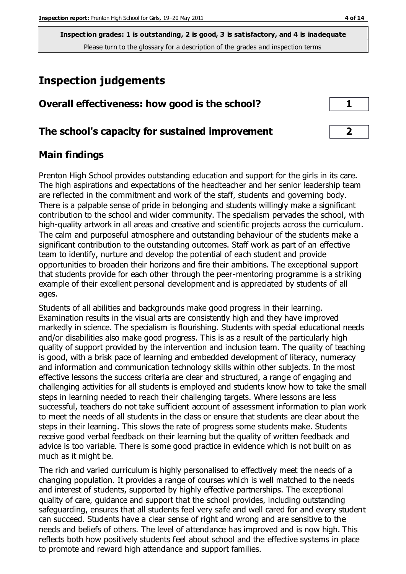# **Inspection judgements**

| Overall effectiveness: how good is the school?  |                         |
|-------------------------------------------------|-------------------------|
| The school's capacity for sustained improvement | $\overline{\mathbf{2}}$ |

# **Main findings**

Prenton High School provides outstanding education and support for the girls in its care. The high aspirations and expectations of the headteacher and her senior leadership team are reflected in the commitment and work of the staff, students and governing body. There is a palpable sense of pride in belonging and students willingly make a significant contribution to the school and wider community. The specialism pervades the school, with high-quality artwork in all areas and creative and scientific projects across the curriculum. The calm and purposeful atmosphere and outstanding behaviour of the students make a significant contribution to the outstanding outcomes. Staff work as part of an effective team to identify, nurture and develop the potential of each student and provide opportunities to broaden their horizons and fire their ambitions. The exceptional support that students provide for each other through the peer-mentoring programme is a striking example of their excellent personal development and is appreciated by students of all ages.

Students of all abilities and backgrounds make good progress in their learning. Examination results in the visual arts are consistently high and they have improved markedly in science. The specialism is flourishing. Students with special educational needs and/or disabilities also make good progress. This is as a result of the particularly high quality of support provided by the intervention and inclusion team. The quality of teaching is good, with a brisk pace of learning and embedded development of literacy, numeracy and information and communication technology skills within other subjects. In the most effective lessons the success criteria are clear and structured, a range of engaging and challenging activities for all students is employed and students know how to take the small steps in learning needed to reach their challenging targets. Where lessons are less successful, teachers do not take sufficient account of assessment information to plan work to meet the needs of all students in the class or ensure that students are clear about the steps in their learning. This slows the rate of progress some students make. Students receive good verbal feedback on their learning but the quality of written feedback and advice is too variable. There is some good practice in evidence which is not built on as much as it might be.

The rich and varied curriculum is highly personalised to effectively meet the needs of a changing population. It provides a range of courses which is well matched to the needs and interest of students, supported by highly effective partnerships. The exceptional quality of care, guidance and support that the school provides, including outstanding safeguarding, ensures that all students feel very safe and well cared for and every student can succeed. Students have a clear sense of right and wrong and are sensitive to the needs and beliefs of others. The level of attendance has improved and is now high. This reflects both how positively students feel about school and the effective systems in place to promote and reward high attendance and support families.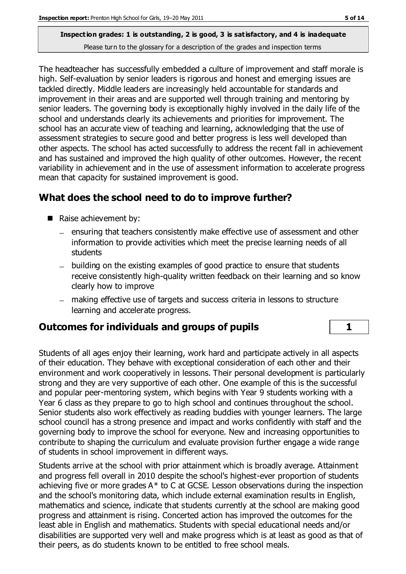The headteacher has successfully embedded a culture of improvement and staff morale is high. Self-evaluation by senior leaders is rigorous and honest and emerging issues are tackled directly. Middle leaders are increasingly held accountable for standards and improvement in their areas and are supported well through training and mentoring by senior leaders. The governing body is exceptionally highly involved in the daily life of the school and understands clearly its achievements and priorities for improvement. The school has an accurate view of teaching and learning, acknowledging that the use of assessment strategies to secure good and better progress is less well developed than other aspects. The school has acted successfully to address the recent fall in achievement and has sustained and improved the high quality of other outcomes. However, the recent variability in achievement and in the use of assessment information to accelerate progress mean that capacity for sustained improvement is good.

# **What does the school need to do to improve further?**

- Raise achievement by:
	- ensuring that teachers consistently make effective use of assessment and other information to provide activities which meet the precise learning needs of all students
	- building on the existing examples of good practice to ensure that students receive consistently high-quality written feedback on their learning and so know clearly how to improve
	- making effective use of targets and success criteria in lessons to structure learning and accelerate progress.

## **Outcomes for individuals and groups of pupils 1**

Students of all ages enjoy their learning, work hard and participate actively in all aspects of their education. They behave with exceptional consideration of each other and their environment and work cooperatively in lessons. Their personal development is particularly strong and they are very supportive of each other. One example of this is the successful and popular peer-mentoring system, which begins with Year 9 students working with a Year 6 class as they prepare to go to high school and continues throughout the school. Senior students also work effectively as reading buddies with younger learners. The large school council has a strong presence and impact and works confidently with staff and the governing body to improve the school for everyone. New and increasing opportunities to contribute to shaping the curriculum and evaluate provision further engage a wide range of students in school improvement in different ways.

Students arrive at the school with prior attainment which is broadly average. Attainment and progress fell overall in 2010 despite the school's highest-ever proportion of students achieving five or more grades A\* to C at GCSE. Lesson observations during the inspection and the school's monitoring data, which include external examination results in English, mathematics and science, indicate that students currently at the school are making good progress and attainment is rising. Concerted action has improved the outcomes for the least able in English and mathematics. Students with special educational needs and/or disabilities are supported very well and make progress which is at least as good as that of their peers, as do students known to be entitled to free school meals.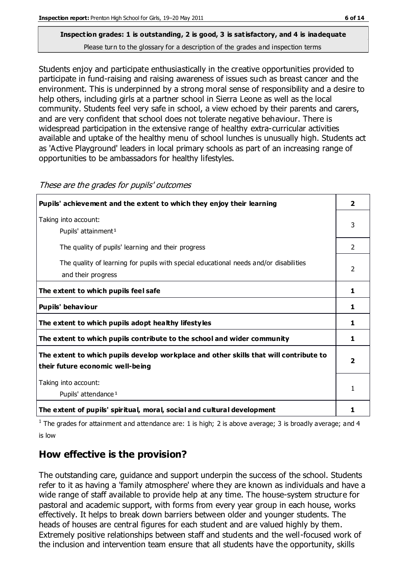Students enjoy and participate enthusiastically in the creative opportunities provided to participate in fund-raising and raising awareness of issues such as breast cancer and the environment. This is underpinned by a strong moral sense of responsibility and a desire to help others, including girls at a partner school in Sierra Leone as well as the local community. Students feel very safe in school, a view echoed by their parents and carers, and are very confident that school does not tolerate negative behaviour. There is widespread participation in the extensive range of healthy extra-curricular activities available and uptake of the healthy menu of school lunches is unusually high. Students act as 'Active Playground' leaders in local primary schools as part of an increasing range of

| Pupils' achievement and the extent to which they enjoy their learning                                                     | $\overline{\mathbf{2}}$ |
|---------------------------------------------------------------------------------------------------------------------------|-------------------------|
| Taking into account:<br>Pupils' attainment <sup>1</sup>                                                                   | 3                       |
| The quality of pupils' learning and their progress                                                                        | $\overline{2}$          |
| The quality of learning for pupils with special educational needs and/or disabilities<br>and their progress               |                         |
| The extent to which pupils feel safe                                                                                      | 1                       |
| Pupils' behaviour                                                                                                         | 1                       |
| The extent to which pupils adopt healthy lifestyles                                                                       | 1                       |
| The extent to which pupils contribute to the school and wider community                                                   | 1                       |
| The extent to which pupils develop workplace and other skills that will contribute to<br>their future economic well-being | $\overline{\mathbf{2}}$ |
| Taking into account:<br>Pupils' attendance <sup>1</sup>                                                                   | 1                       |
| The extent of pupils' spiritual, moral, social and cultural development                                                   | 1                       |

These are the grades for pupils' outcomes

opportunities to be ambassadors for healthy lifestyles.

<sup>1</sup> The grades for attainment and attendance are: 1 is high; 2 is above average; 3 is broadly average; and 4 is low

# **How effective is the provision?**

The outstanding care, guidance and support underpin the success of the school. Students refer to it as having a 'family atmosphere' where they are known as individuals and have a wide range of staff available to provide help at any time. The house-system structure for pastoral and academic support, with forms from every year group in each house, works effectively. It helps to break down barriers between older and younger students. The heads of houses are central figures for each student and are valued highly by them. Extremely positive relationships between staff and students and the well-focused work of the inclusion and intervention team ensure that all students have the opportunity, skills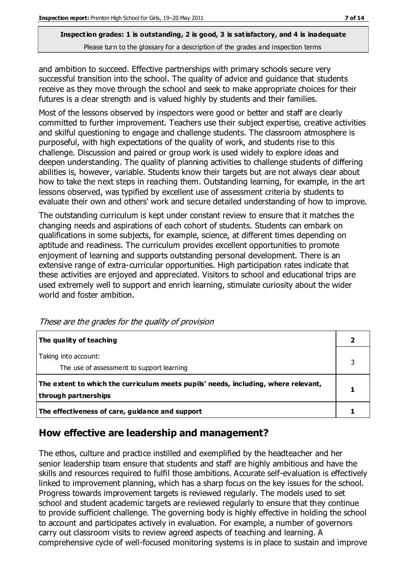and ambition to succeed. Effective partnerships with primary schools secure very successful transition into the school. The quality of advice and guidance that students receive as they move through the school and seek to make appropriate choices for their futures is a clear strength and is valued highly by students and their families.

Most of the lessons observed by inspectors were good or better and staff are clearly committed to further improvement. Teachers use their subject expertise, creative activities and skilful questioning to engage and challenge students. The classroom atmosphere is purposeful, with high expectations of the quality of work, and students rise to this challenge. Discussion and paired or group work is used widely to explore ideas and deepen understanding. The quality of planning activities to challenge students of differing abilities is, however, variable. Students know their targets but are not always clear about how to take the next steps in reaching them. Outstanding learning, for example, in the art lessons observed, was typified by excellent use of assessment criteria by students to evaluate their own and others' work and secure detailed understanding of how to improve.

The outstanding curriculum is kept under constant review to ensure that it matches the changing needs and aspirations of each cohort of students. Students can embark on qualifications in some subjects, for example, science, at different times depending on aptitude and readiness. The curriculum provides excellent opportunities to promote enjoyment of learning and supports outstanding personal development. There is an extensive range of extra-curricular opportunities. High participation rates indicate that these activities are enjoyed and appreciated. Visitors to school and educational trips are used extremely well to support and enrich learning, stimulate curiosity about the wider world and foster ambition.

| The quality of teaching                                                                                    |  |
|------------------------------------------------------------------------------------------------------------|--|
| Taking into account:<br>The use of assessment to support learning                                          |  |
| The extent to which the curriculum meets pupils' needs, including, where relevant,<br>through partnerships |  |
| The effectiveness of care, guidance and support                                                            |  |

These are the grades for the quality of provision

# **How effective are leadership and management?**

The ethos, culture and practice instilled and exemplified by the headteacher and her senior leadership team ensure that students and staff are highly ambitious and have the skills and resources required to fulfil those ambitions. Accurate self-evaluation is effectively linked to improvement planning, which has a sharp focus on the key issues for the school. Progress towards improvement targets is reviewed regularly. The models used to set school and student academic targets are reviewed regularly to ensure that they continue to provide sufficient challenge. The governing body is highly effective in holding the school to account and participates actively in evaluation. For example, a number of governors carry out classroom visits to review agreed aspects of teaching and learning. A comprehensive cycle of well-focused monitoring systems is in place to sustain and improve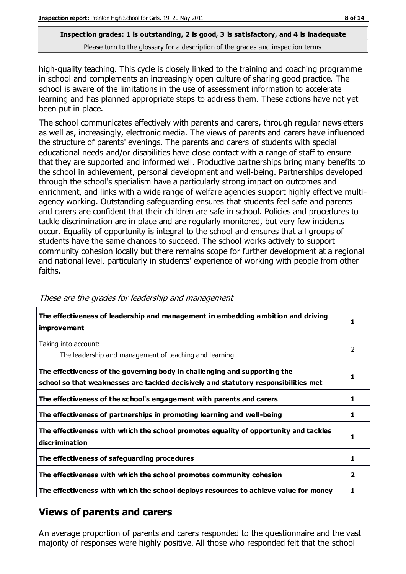high-quality teaching. This cycle is closely linked to the training and coaching programme in school and complements an increasingly open culture of sharing good practice. The school is aware of the limitations in the use of assessment information to accelerate learning and has planned appropriate steps to address them. These actions have not yet been put in place.

The school communicates effectively with parents and carers, through regular newsletters as well as, increasingly, electronic media. The views of parents and carers have influenced the structure of parents' evenings. The parents and carers of students with special educational needs and/or disabilities have close contact with a range of staff to ensure that they are supported and informed well. Productive partnerships bring many benefits to the school in achievement, personal development and well-being. Partnerships developed through the school's specialism have a particularly strong impact on outcomes and enrichment, and links with a wide range of welfare agencies support highly effective multiagency working. Outstanding safeguarding ensures that students feel safe and parents and carers are confident that their children are safe in school. Policies and procedures to tackle discrimination are in place and are regularly monitored, but very few incidents occur. Equality of opportunity is integral to the school and ensures that all groups of students have the same chances to succeed. The school works actively to support community cohesion locally but there remains scope for further development at a regional and national level, particularly in students' experience of working with people from other faiths.

| The effectiveness of leadership and management in embedding ambition and driving<br><i>improvement</i>                                                           |   |
|------------------------------------------------------------------------------------------------------------------------------------------------------------------|---|
| Taking into account:<br>The leadership and management of teaching and learning                                                                                   | 2 |
| The effectiveness of the governing body in challenging and supporting the<br>school so that weaknesses are tackled decisively and statutory responsibilities met |   |
| The effectiveness of the school's engagement with parents and carers                                                                                             | 1 |
| The effectiveness of partnerships in promoting learning and well-being                                                                                           | 1 |
| The effectiveness with which the school promotes equality of opportunity and tackles<br>discrimination                                                           | 1 |
| The effectiveness of safeguarding procedures                                                                                                                     | 1 |
| The effectiveness with which the school promotes community cohesion                                                                                              |   |
| The effectiveness with which the school deploys resources to achieve value for money                                                                             |   |

#### These are the grades for leadership and management

# **Views of parents and carers**

An average proportion of parents and carers responded to the questionnaire and the vast majority of responses were highly positive. All those who responded felt that the school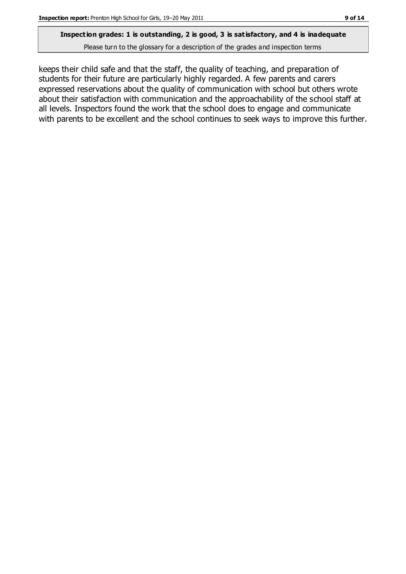# **Inspection grades: 1 is outstanding, 2 is good, 3 is satisfactory, and 4 is inadequate**

Please turn to the glossary for a description of the grades and inspection terms

keeps their child safe and that the staff, the quality of teaching, and preparation of students for their future are particularly highly regarded. A few parents and carers expressed reservations about the quality of communication with school but others wrote about their satisfaction with communication and the approachability of the school staff at all levels. Inspectors found the work that the school does to engage and communicate with parents to be excellent and the school continues to seek ways to improve this further.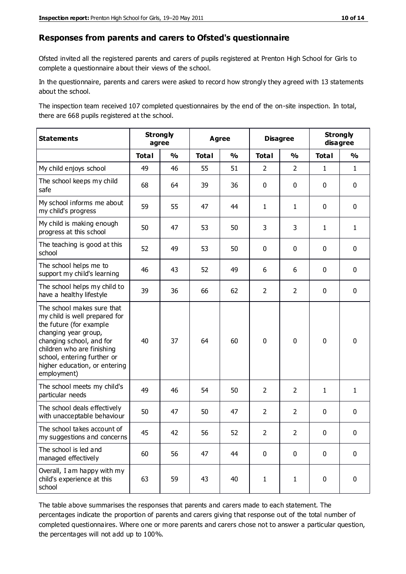#### **Responses from parents and carers to Ofsted's questionnaire**

Ofsted invited all the registered parents and carers of pupils registered at Prenton High School for Girls to complete a questionnaire about their views of the school.

In the questionnaire, parents and carers were asked to record how strongly they agreed with 13 statements about the school.

The inspection team received 107 completed questionnaires by the end of the on-site inspection. In total, there are 668 pupils registered at the school.

| <b>Statements</b>                                                                                                                                                                                                                                       | <b>Strongly</b><br>agree |               | Agree        |               | <b>Disagree</b> |                | <b>Strongly</b><br>disagree |               |
|---------------------------------------------------------------------------------------------------------------------------------------------------------------------------------------------------------------------------------------------------------|--------------------------|---------------|--------------|---------------|-----------------|----------------|-----------------------------|---------------|
|                                                                                                                                                                                                                                                         | <b>Total</b>             | $\frac{1}{2}$ | <b>Total</b> | $\frac{1}{2}$ | <b>Total</b>    | $\frac{0}{0}$  | <b>Total</b>                | $\frac{1}{2}$ |
| My child enjoys school                                                                                                                                                                                                                                  | 49                       | 46            | 55           | 51            | $\overline{2}$  | $\overline{2}$ | $\mathbf{1}$                | $\mathbf{1}$  |
| The school keeps my child<br>safe                                                                                                                                                                                                                       | 68                       | 64            | 39           | 36            | 0               | $\mathbf 0$    | $\mathbf 0$                 | $\mathbf 0$   |
| My school informs me about<br>my child's progress                                                                                                                                                                                                       | 59                       | 55            | 47           | 44            | $\mathbf{1}$    | $\mathbf{1}$   | $\mathbf 0$                 | $\mathbf 0$   |
| My child is making enough<br>progress at this school                                                                                                                                                                                                    | 50                       | 47            | 53           | 50            | 3               | 3              | $\mathbf{1}$                | $\mathbf{1}$  |
| The teaching is good at this<br>school                                                                                                                                                                                                                  | 52                       | 49            | 53           | 50            | 0               | $\mathbf 0$    | 0                           | $\mathbf 0$   |
| The school helps me to<br>support my child's learning                                                                                                                                                                                                   | 46                       | 43            | 52           | 49            | 6               | 6              | $\mathbf 0$                 | $\mathbf 0$   |
| The school helps my child to<br>have a healthy lifestyle                                                                                                                                                                                                | 39                       | 36            | 66           | 62            | $\overline{2}$  | $\overline{2}$ | $\mathbf 0$                 | $\mathbf 0$   |
| The school makes sure that<br>my child is well prepared for<br>the future (for example<br>changing year group,<br>changing school, and for<br>children who are finishing<br>school, entering further or<br>higher education, or entering<br>employment) | 40                       | 37            | 64           | 60            | $\mathbf 0$     | $\mathbf 0$    | $\mathbf 0$                 | $\mathbf 0$   |
| The school meets my child's<br>particular needs                                                                                                                                                                                                         | 49                       | 46            | 54           | 50            | $\overline{2}$  | $\overline{2}$ | $\mathbf{1}$                | $\mathbf{1}$  |
| The school deals effectively<br>with unacceptable behaviour                                                                                                                                                                                             | 50                       | 47            | 50           | 47            | $\overline{2}$  | $\overline{2}$ | $\mathbf 0$                 | $\mathbf 0$   |
| The school takes account of<br>my suggestions and concerns                                                                                                                                                                                              | 45                       | 42            | 56           | 52            | 2               | $\overline{2}$ | $\mathbf 0$                 | $\mathbf{0}$  |
| The school is led and<br>managed effectively                                                                                                                                                                                                            | 60                       | 56            | 47           | 44            | $\pmb{0}$       | $\mathbf 0$    | $\mathbf 0$                 | $\mathbf 0$   |
| Overall, I am happy with my<br>child's experience at this<br>school                                                                                                                                                                                     | 63                       | 59            | 43           | 40            | $\mathbf{1}$    | $\mathbf{1}$   | $\mathbf 0$                 | $\pmb{0}$     |

The table above summarises the responses that parents and carers made to each statement. The percentages indicate the proportion of parents and carers giving that response out of the total number of completed questionnaires. Where one or more parents and carers chose not to answer a particular question, the percentages will not add up to 100%.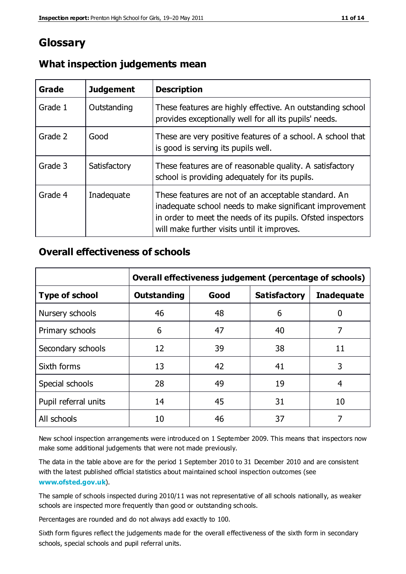# **Glossary**

| Grade   | <b>Judgement</b> | <b>Description</b>                                                                                                                                                                                                            |
|---------|------------------|-------------------------------------------------------------------------------------------------------------------------------------------------------------------------------------------------------------------------------|
| Grade 1 | Outstanding      | These features are highly effective. An outstanding school<br>provides exceptionally well for all its pupils' needs.                                                                                                          |
| Grade 2 | Good             | These are very positive features of a school. A school that<br>is good is serving its pupils well.                                                                                                                            |
| Grade 3 | Satisfactory     | These features are of reasonable quality. A satisfactory<br>school is providing adequately for its pupils.                                                                                                                    |
| Grade 4 | Inadequate       | These features are not of an acceptable standard. An<br>inadequate school needs to make significant improvement<br>in order to meet the needs of its pupils. Ofsted inspectors<br>will make further visits until it improves. |

### **What inspection judgements mean**

### **Overall effectiveness of schools**

|                       | Overall effectiveness judgement (percentage of schools) |      |                     |                   |
|-----------------------|---------------------------------------------------------|------|---------------------|-------------------|
| <b>Type of school</b> | <b>Outstanding</b>                                      | Good | <b>Satisfactory</b> | <b>Inadequate</b> |
| Nursery schools       | 46                                                      | 48   | 6                   |                   |
| Primary schools       | 6                                                       | 47   | 40                  | 7                 |
| Secondary schools     | 12                                                      | 39   | 38                  | 11                |
| Sixth forms           | 13                                                      | 42   | 41                  | 3                 |
| Special schools       | 28                                                      | 49   | 19                  | 4                 |
| Pupil referral units  | 14                                                      | 45   | 31                  | 10                |
| All schools           | 10                                                      | 46   | 37                  |                   |

New school inspection arrangements were introduced on 1 September 2009. This means that inspectors now make some additional judgements that were not made previously.

The data in the table above are for the period 1 September 2010 to 31 December 2010 and are consistent with the latest published official statistics about maintained school inspection outcomes (see **[www.ofsted.gov.uk](http://www.ofsted.gov.uk/)**).

The sample of schools inspected during 2010/11 was not representative of all schools nationally, as weaker schools are inspected more frequently than good or outstanding schools.

Percentages are rounded and do not always add exactly to 100.

Sixth form figures reflect the judgements made for the overall effectiveness of the sixth form in secondary schools, special schools and pupil referral units.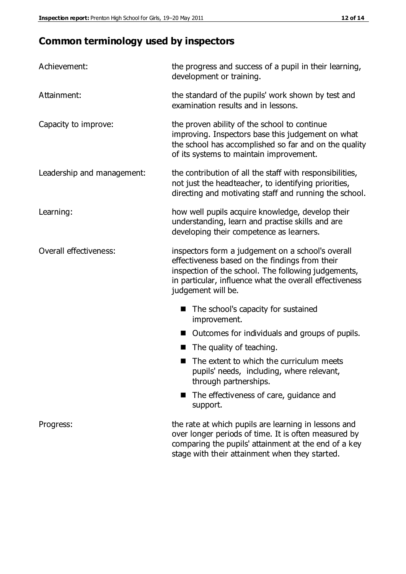# **Common terminology used by inspectors**

| Achievement:               | the progress and success of a pupil in their learning,<br>development or training.                                                                                                                                                          |  |  |
|----------------------------|---------------------------------------------------------------------------------------------------------------------------------------------------------------------------------------------------------------------------------------------|--|--|
| Attainment:                | the standard of the pupils' work shown by test and<br>examination results and in lessons.                                                                                                                                                   |  |  |
| Capacity to improve:       | the proven ability of the school to continue<br>improving. Inspectors base this judgement on what<br>the school has accomplished so far and on the quality<br>of its systems to maintain improvement.                                       |  |  |
| Leadership and management: | the contribution of all the staff with responsibilities,<br>not just the headteacher, to identifying priorities,<br>directing and motivating staff and running the school.                                                                  |  |  |
| Learning:                  | how well pupils acquire knowledge, develop their<br>understanding, learn and practise skills and are<br>developing their competence as learners.                                                                                            |  |  |
| Overall effectiveness:     | inspectors form a judgement on a school's overall<br>effectiveness based on the findings from their<br>inspection of the school. The following judgements,<br>in particular, influence what the overall effectiveness<br>judgement will be. |  |  |
|                            | The school's capacity for sustained<br>improvement.                                                                                                                                                                                         |  |  |
|                            | Outcomes for individuals and groups of pupils.                                                                                                                                                                                              |  |  |
|                            | The quality of teaching.                                                                                                                                                                                                                    |  |  |
|                            | The extent to which the curriculum meets<br>pupils' needs, including, where relevant,<br>through partnerships.                                                                                                                              |  |  |
|                            | The effectiveness of care, guidance and<br>support.                                                                                                                                                                                         |  |  |
| Progress:                  | the rate at which pupils are learning in lessons and<br>over longer periods of time. It is often measured by<br>comparing the pupils' attainment at the end of a key                                                                        |  |  |

stage with their attainment when they started.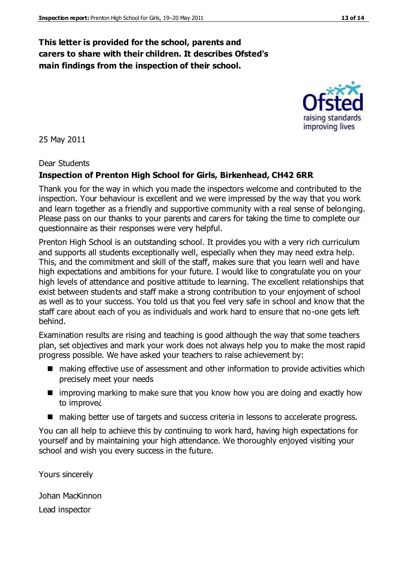### **This letter is provided for the school, parents and carers to share with their children. It describes Ofsted's main findings from the inspection of their school.**

25 May 2011

#### Dear Students

#### **Inspection of Prenton High School for Girls, Birkenhead, CH42 6RR**

Thank you for the way in which you made the inspectors welcome and contributed to the inspection. Your behaviour is excellent and we were impressed by the way that you work and learn together as a friendly and supportive community with a real sense of belonging. Please pass on our thanks to your parents and carers for taking the time to complete our questionnaire as their responses were very helpful.

Prenton High School is an outstanding school. It provides you with a very rich curriculum and supports all students exceptionally well, especially when they may need extra help. This, and the commitment and skill of the staff, makes sure that you learn well and have high expectations and ambitions for your future. I would like to congratulate you on your high levels of attendance and positive attitude to learning. The excellent relationships that exist between students and staff make a strong contribution to your enjoyment of school as well as to your success. You told us that you feel very safe in school and know that the staff care about each of you as individuals and work hard to ensure that no-one gets left behind.

Examination results are rising and teaching is good although the way that some teachers plan, set objectives and mark your work does not always help you to make the most rapid progress possible. We have asked your teachers to raise achievement by:

- making effective use of assessment and other information to provide activities which precisely meet your needs
- **I** improving marking to make sure that you know how you are doing and exactly how to improve¿
- making better use of targets and success criteria in lessons to accelerate progress.

You can all help to achieve this by continuing to work hard, having high expectations for yourself and by maintaining your high attendance. We thoroughly enjoyed visiting your school and wish you every success in the future.

Yours sincerely

Johan MacKinnon

Lead inspector